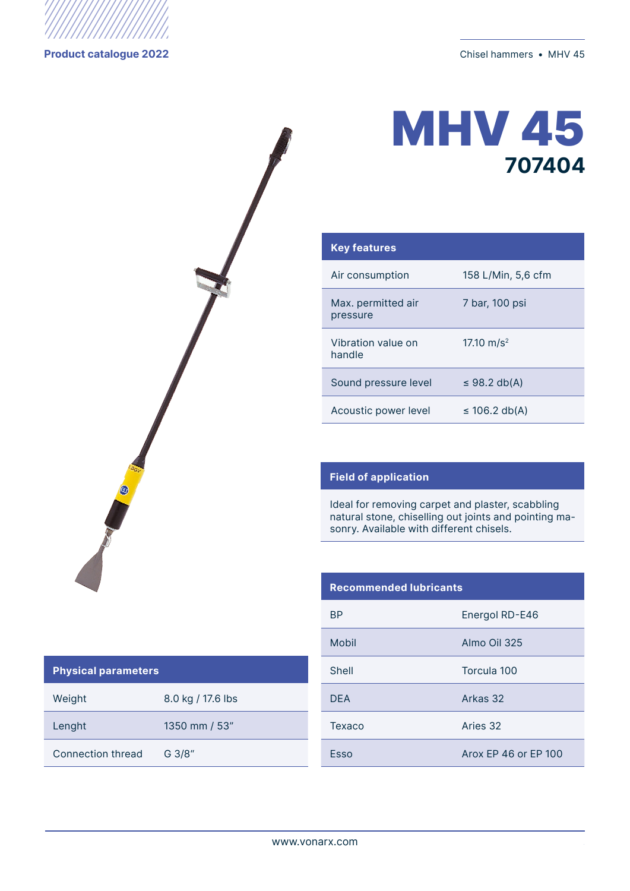

## **MHV 45 707404**

| <b>Key features</b>            |                    |
|--------------------------------|--------------------|
| Air consumption                | 158 L/Min, 5,6 cfm |
| Max. permitted air<br>pressure | 7 bar, 100 psi     |
| Vibration value on<br>handle   | 17.10 $m/s^2$      |
| Sound pressure level           | $\leq$ 98.2 db(A)  |
| Acoustic power level           | $\leq$ 106.2 db(A) |

## **Field of application**

Ideal for removing carpet and plaster, scabbling natural stone, chiselling out joints and pointing masonry. Available with different chisels.

| <b>Recommended Iubricants</b> |                      |
|-------------------------------|----------------------|
| <b>BP</b>                     | Energol RD-E46       |
| Mobil                         | Almo Oil 325         |
| Shell                         | Torcula 100          |
| <b>DFA</b>                    | Arkas 32             |
| Texaco                        | Aries 32             |
| Esso                          | Arox FP 46 or FP 100 |

## **Physical parameters**

| Weight            | 8.0 kg / 17.6 lbs |
|-------------------|-------------------|
| Lenght            | 1350 mm / 53"     |
| Connection thread | $G$ 3/8"          |